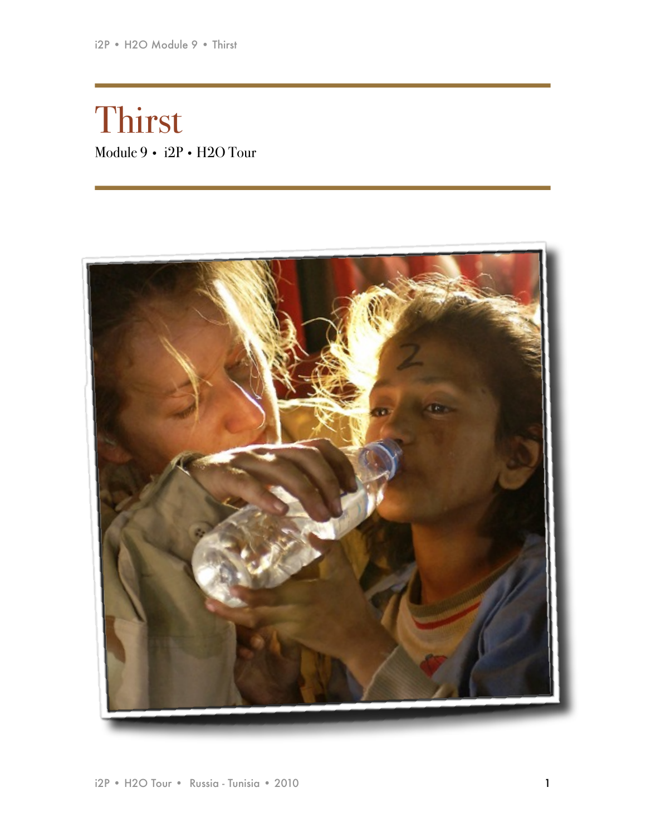# Thirst Module 9 • i2P • H2O Tour

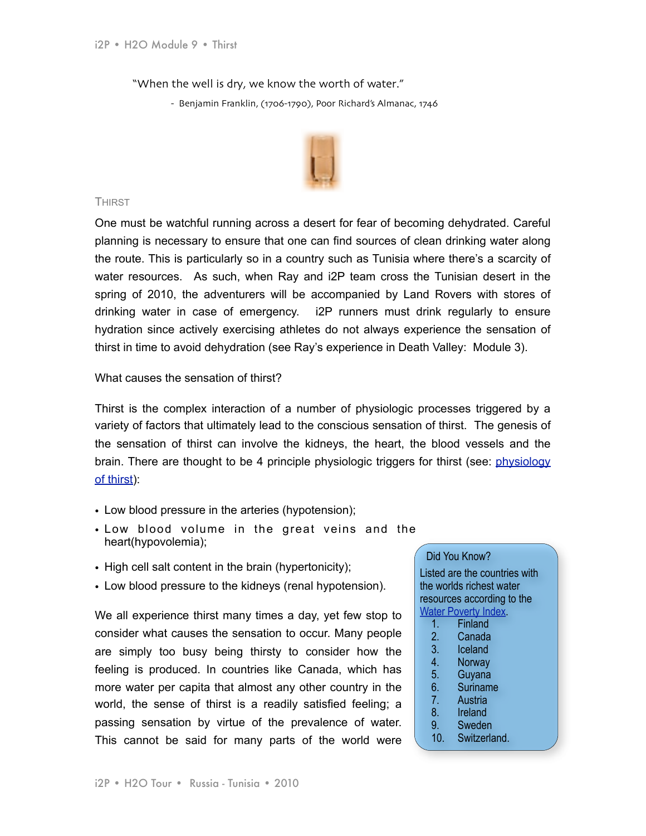"When the well is dry, we know the worth of water."

- Benjamin Franklin, (1706-1790), Poor Richard's Almanac, 1746



# **THIRST**

One must be watchful running across a desert for fear of becoming dehydrated. Careful planning is necessary to ensure that one can find sources of clean drinking water along the route. This is particularly so in a country such as Tunisia where there's a scarcity of water resources. As such, when Ray and i2P team cross the Tunisian desert in the spring of 2010, the adventurers will be accompanied by Land Rovers with stores of drinking water in case of emergency. i2P runners must drink regularly to ensure hydration since actively exercising athletes do not always experience the sensation of thirst in time to avoid dehydration (see Ray's experience in Death Valley: Module 3).

What causes the sensation of thirst?

Thirst is the complex interaction of a number of physiologic processes triggered by a variety of factors that ultimately lead to the conscious sensation of thirst. The genesis of the sensation of thirst can involve the kidneys, the heart, the blood vessels and the brain. There are thought to be 4 principle physiologic triggers for thirst (see: [physiology](http://www.anaesthesiamcq.com/FluidBook/fl5_5.php)  [of thirst](http://www.anaesthesiamcq.com/FluidBook/fl5_5.php)):

- Low blood pressure in the arteries (hypotension);
- Low blood volume in the great veins and the heart(hypovolemia);
- High cell salt content in the brain (hypertonicity);
- Low blood pressure to the kidneys (renal hypotension).

We all experience thirst many times a day, yet few stop to consider what causes the sensation to occur. Many people are simply too busy being thirsty to consider how the feeling is produced. In countries like Canada, which has more water per capita that almost any other country in the world, the sense of thirst is a readily satisfied feeling; a passing sensation by virtue of the prevalence of water. This cannot be said for many parts of the world were

# Did You Know?

Listed are the countries with the worlds richest water resources according to the [Water Poverty Index.](http://internationaltrade.suite101.com/article.cfm/richest_water_countries)

- 1. Finland
- 2. Canada
- 3. Iceland
- 4. Norway
- 5. Guyana
- 6. Suriname
- 7. Austria
- 8. Ireland
- 9. Sweden
- 10. Switzerland.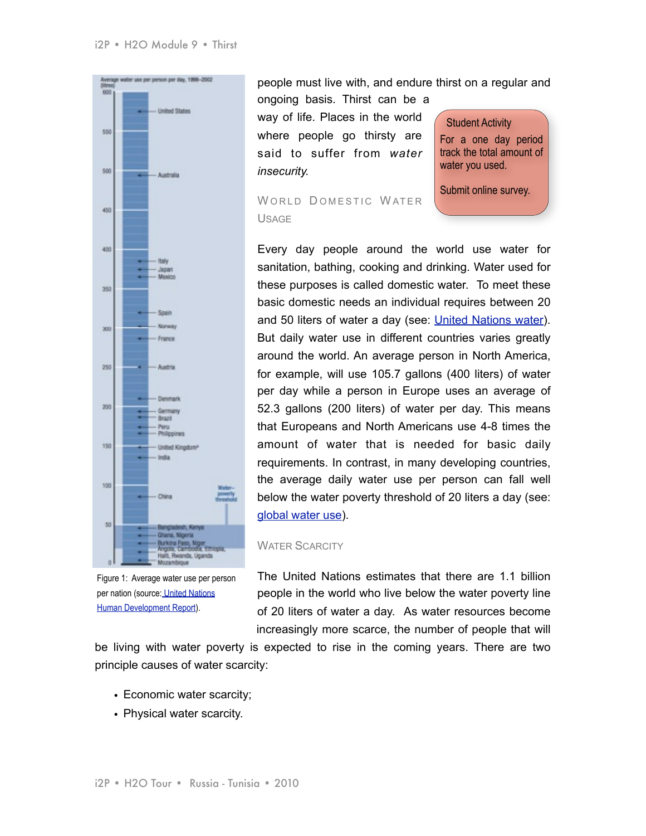

Figure 1: Average water use per person per nation (source[: United Nations](http://hdr.undp.org/hdr2006/pdfs/report/HDR06-complete.pdf)  [Human Development Report\)](http://hdr.undp.org/hdr2006/pdfs/report/HDR06-complete.pdf).

people must live with, and endure thirst on a regular and ongoing basis. Thirst can be a

way of life. Places in the world where people go thirsty are said to suffer from *water insecurity.*

Student Activity For a one day period track the total amount of water you used.

Submit online survey.

WORLD DOMESTIC WATER USAGE

Every day people around the world use water for sanitation, bathing, cooking and drinking. Water used for these purposes is called domestic water. To meet these basic domestic needs an individual requires between 20 and 50 liters of water a day (see: [United Nations water](http://www.unesco.org/water/wwap/facts_figures/basic_needs.shtml)). But daily water use in different countries varies greatly around the world. An average person in North America, for example, will use 105.7 gallons (400 liters) of water per day while a person in Europe uses an average of 52.3 gallons (200 liters) of water per day. This means that Europeans and North Americans use 4-8 times the amount of water that is needed for basic daily requirements. In contrast, in many developing countries, the average daily water use per person can fall well below the water poverty threshold of 20 liters a day (see: [global water use](http://hdr.undp.org/hdr2006/pdfs/report/HDR06-complete.pdf)).

# WATER SCARCITY

The United Nations estimates that there are 1.1 billion people in the world who live below the water poverty line of 20 liters of water a day. As water resources become increasingly more scarce, the number of people that will

be living with water poverty is expected to rise in the coming years. There are two principle causes of water scarcity:

- Economic water scarcity;
- Physical water scarcity.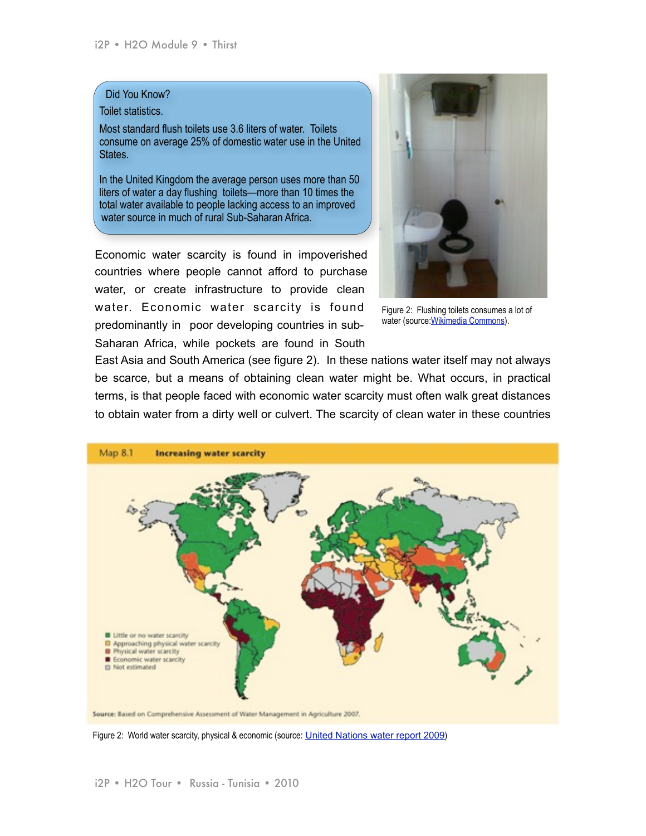# Did You Know?

# Toilet statistics.

Most standard flush toilets use 3.6 liters of water. Toilets consume on average 25% of domestic water use in the United States.

In the United Kingdom the average person uses more than 50 liters of water a day flushing toilets—more than 10 times the total water available to people lacking access to an improved water source in much of rural Sub-Saharan Africa.

Economic water scarcity is found in impoverished countries where people cannot afford to purchase water, or create infrastructure to provide clean water. Economic water scarcity is found predominantly in poor developing countries in sub-Saharan Africa, while pockets are found in South



Figure 2: Flushing toilets consumes a lot of water (source[:Wikimedia Commons\)](http://en.wikipedia.org/wiki/File:Old_toilet_with_elevated_cistern_and_chain.jpg).

East Asia and South America (see figure 2). In these nations water itself may not always be scarce, but a means of obtaining clean water might be. What occurs, in practical terms, is that people faced with economic water scarcity must often walk great distances to obtain water from a dirty well or culvert. The scarcity of clean water in these countries



Figure 2: World water scarcity, physical & economic (source: [United Nations water report 2009](http://www.unesco.org/water/wwap/wwdr/wwdr3/pdf/WWDR3_Water_in_a_Changing_World.pdf))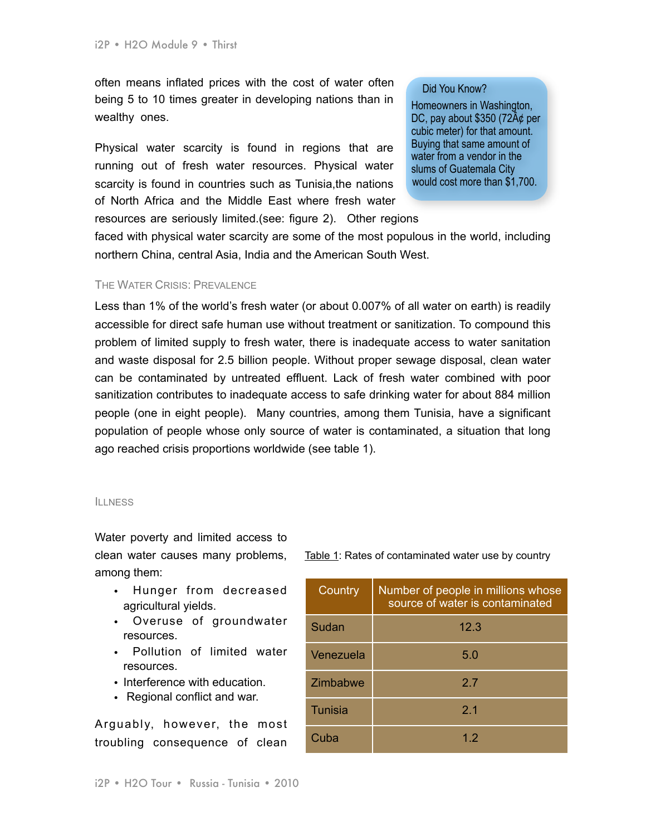often means inflated prices with the cost of water often being 5 to 10 times greater in developing nations than in wealthy ones.

Physical water scarcity is found in regions that are running out of fresh water resources. Physical water scarcity is found in countries such as Tunisia,the nations of North Africa and the Middle East where fresh water resources are seriously limited.(see: figure 2). Other regions

### Did You Know?

Homeowners in Washington, DC, pay about \$350 (72 $A\phi$  per cubic meter) for that amount. Buying that same amount of water from a vendor in the slums of Guatemala City would cost more than \$1,700.

faced with physical water scarcity are some of the most populous in the world, including northern China, central Asia, India and the American South West.

# THE WATER CRISIS: PREVALENCE

Less than 1% of the world's fresh water (or about 0.007% of all water on earth) is readily accessible for direct safe human use without treatment or sanitization. To compound this problem of limited supply to fresh water, there is inadequate access to water sanitation and waste disposal for 2.5 billion people. Without proper sewage disposal, clean water can be contaminated by untreated effluent. Lack of fresh water combined with poor sanitization contributes to inadequate access to safe drinking water for about 884 million people (one in eight people). Many countries, among them Tunisia, have a significant population of people whose only source of water is contaminated, a situation that long ago reached crisis proportions worldwide (see table 1).

#### **ILLNESS**

Water poverty and limited access to clean water causes many problems, among them:

- Hunger from decreased agricultural yields.
- Overuse of groundwater resources.
- Pollution of limited water resources.
- Interference with education.
- Regional conflict and war.

Arguably, however, the most troubling consequence of clean

|  |  | Table 1: Rates of contaminated water use by country |  |  |
|--|--|-----------------------------------------------------|--|--|
|--|--|-----------------------------------------------------|--|--|

| Country   | Number of people in millions whose<br>source of water is contaminated |
|-----------|-----------------------------------------------------------------------|
| Sudan     | 12.3                                                                  |
| Venezuela | 5.0                                                                   |
| Zimbabwe  | 2.7                                                                   |
| Tunisia   | 2 <sub>1</sub>                                                        |
| Cuba      | 12                                                                    |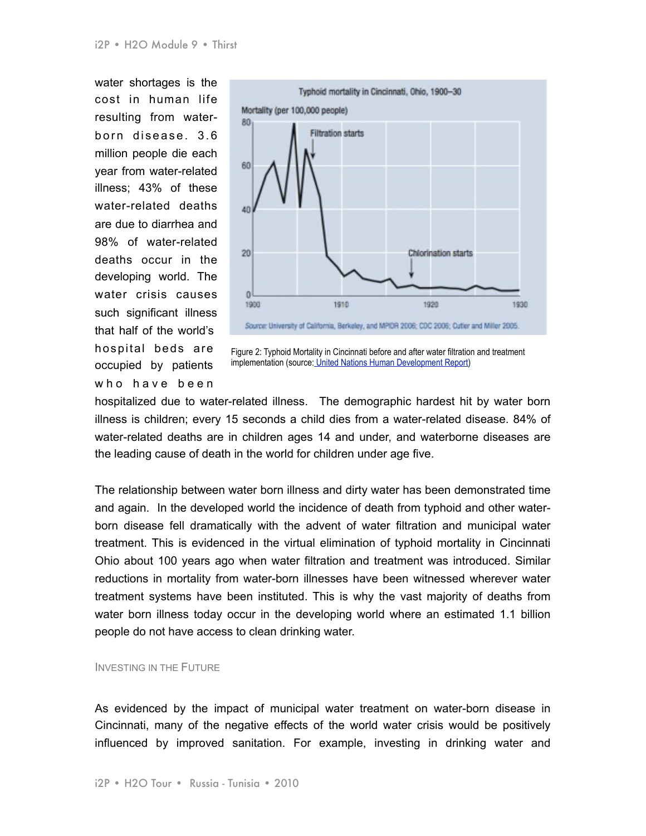water shortages is the cost in human life resulting from waterborn disease. 3.6 million people die each year from water-related illness; 43% of these water-related deaths are due to diarrhea and 98% of water-related deaths occur in the developing world. The water crisis causes such significant illness that half of the world's hospital beds are occupied by patients who have been



Figure 2: Typhoid Mortality in Cincinnati before and after water filtration and treatment implementation (source[: United Nations Human Development Report\)](http://hdr.undp.org/hdr2006/pdfs/report/HDR06-complete.pdf)

hospitalized due to water-related illness. The demographic hardest hit by water born illness is children; every 15 seconds a child dies from a water-related disease. 84% of water-related deaths are in children ages 14 and under, and waterborne diseases are the leading cause of death in the world for children under age five.

The relationship between water born illness and dirty water has been demonstrated time and again. In the developed world the incidence of death from typhoid and other waterborn disease fell dramatically with the advent of water filtration and municipal water treatment. This is evidenced in the virtual elimination of typhoid mortality in Cincinnati Ohio about 100 years ago when water filtration and treatment was introduced. Similar reductions in mortality from water-born illnesses have been witnessed wherever water treatment systems have been instituted. This is why the vast majority of deaths from water born illness today occur in the developing world where an estimated 1.1 billion people do not have access to clean drinking water.

# INVESTING IN THE FUTURE

As evidenced by the impact of municipal water treatment on water-born disease in Cincinnati, many of the negative effects of the world water crisis would be positively influenced by improved sanitation. For example, investing in drinking water and